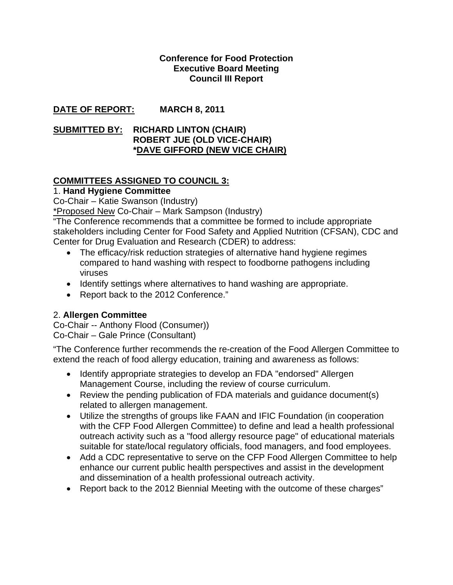#### **Conference for Food Protection Executive Board Meeting Council III Report**

## **DATE OF REPORT: MARCH 8, 2011**

#### **SUBMITTED BY: RICHARD LINTON (CHAIR) ROBERT JUE (OLD VICE-CHAIR) \*DAVE GIFFORD (NEW VICE CHAIR)**

## **COMMITTEES ASSIGNED TO COUNCIL 3:**

1. **Hand Hygiene Committee** 

Co-Chair – Katie Swanson (Industry)

\*Proposed New Co-Chair – Mark Sampson (Industry)

"The Conference recommends that a committee be formed to include appropriate stakeholders including Center for Food Safety and Applied Nutrition (CFSAN), CDC and Center for Drug Evaluation and Research (CDER) to address:

- The efficacy/risk reduction strategies of alternative hand hygiene regimes compared to hand washing with respect to foodborne pathogens including viruses
- Identify settings where alternatives to hand washing are appropriate.
- Report back to the 2012 Conference."

# 2. **Allergen Committee**

Co-Chair -- Anthony Flood (Consumer)) Co-Chair – Gale Prince (Consultant)

"The Conference further recommends the re-creation of the Food Allergen Committee to extend the reach of food allergy education, training and awareness as follows:

- Identify appropriate strategies to develop an FDA "endorsed" Allergen Management Course, including the review of course curriculum.
- Review the pending publication of FDA materials and guidance document(s) related to allergen management.
- Utilize the strengths of groups like FAAN and IFIC Foundation (in cooperation with the CFP Food Allergen Committee) to define and lead a health professional outreach activity such as a "food allergy resource page" of educational materials suitable for state/local regulatory officials, food managers, and food employees.
- Add a CDC representative to serve on the CFP Food Allergen Committee to help enhance our current public health perspectives and assist in the development and dissemination of a health professional outreach activity.
- Report back to the 2012 Biennial Meeting with the outcome of these charges"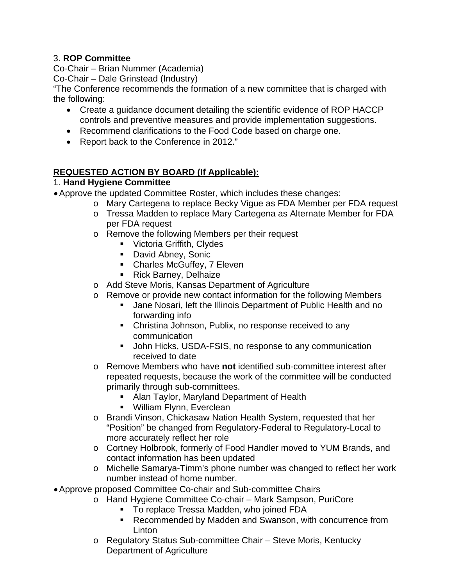## 3. **ROP Committee**

Co-Chair – Brian Nummer (Academia)

Co-Chair – Dale Grinstead (Industry)

"The Conference recommends the formation of a new committee that is charged with the following:

- Create a guidance document detailing the scientific evidence of ROP HACCP controls and preventive measures and provide implementation suggestions.
- Recommend clarifications to the Food Code based on charge one.
- Report back to the Conference in 2012."

## **REQUESTED ACTION BY BOARD (If Applicable):**

## 1. **Hand Hygiene Committee**

- Approve the updated Committee Roster, which includes these changes:
	- o Mary Cartegena to replace Becky Vigue as FDA Member per FDA request
	- o Tressa Madden to replace Mary Cartegena as Alternate Member for FDA per FDA request
	- o Remove the following Members per their request
		- **Victoria Griffith, Clydes**
		- David Abney, Sonic
		- Charles McGuffey, 7 Eleven
		- **Rick Barney, Delhaize**
	- o Add Steve Moris, Kansas Department of Agriculture
	- o Remove or provide new contact information for the following Members
		- **Jane Nosari, left the Illinois Department of Public Health and no** forwarding info
		- Christina Johnson, Publix, no response received to any communication
		- **John Hicks, USDA-FSIS, no response to any communication** received to date
	- o Remove Members who have **not** identified sub-committee interest after repeated requests, because the work of the committee will be conducted primarily through sub-committees.
		- Alan Taylor, Maryland Department of Health
		- **William Flynn, Everclean**
	- o Brandi Vinson, Chickasaw Nation Health System, requested that her "Position" be changed from Regulatory-Federal to Regulatory-Local to more accurately reflect her role
	- o Cortney Holbrook, formerly of Food Handler moved to YUM Brands, and contact information has been updated
	- o Michelle Samarya-Timm's phone number was changed to reflect her work number instead of home number.
- Approve proposed Committee Co-chair and Sub-committee Chairs
	- o Hand Hygiene Committee Co-chair Mark Sampson, PuriCore
		- **To replace Tressa Madden, who joined FDA**
		- **Recommended by Madden and Swanson, with concurrence from Linton**
	- o Regulatory Status Sub-committee Chair Steve Moris, Kentucky Department of Agriculture